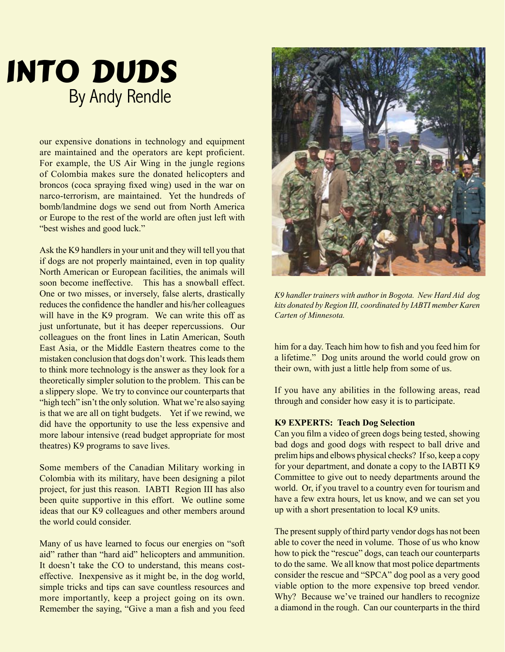# INTO DUDS By Andy Rendle

our expensive donations in technology and equipment are maintained and the operators are kept proficient. For example, the US Air Wing in the jungle regions of Colombia makes sure the donated helicopters and broncos (coca spraying fixed wing) used in the war on narco-terrorism, are maintained. Yet the hundreds of bomb/landmine dogs we send out from North America or Europe to the rest of the world are often just left with "best wishes and good luck."

Ask the K9 handlers in your unit and they will tell you that if dogs are not properly maintained, even in top quality North American or European facilities, the animals will soon become ineffective. This has a snowball effect. One or two misses, or inversely, false alerts, drastically reduces the confidence the handler and his/her colleagues will have in the K9 program. We can write this off as just unfortunate, but it has deeper repercussions. Our colleagues on the front lines in Latin American, South East Asia, or the Middle Eastern theatres come to the mistaken conclusion that dogs don't work. This leads them to think more technology is the answer as they look for a theoretically simpler solution to the problem. This can be a slippery slope. We try to convince our counterparts that "high tech" isn't the only solution. What we're also saying is that we are all on tight budgets. Yet if we rewind, we did have the opportunity to use the less expensive and more labour intensive (read budget appropriate for most theatres) K9 programs to save lives.

Some members of the Canadian Military working in Colombia with its military, have been designing a pilot project, for just this reason. IABTI Region III has also been quite supportive in this effort. We outline some ideas that our K9 colleagues and other members around the world could consider.

Many of us have learned to focus our energies on "soft aid" rather than "hard aid" helicopters and ammunition. It doesn't take the CO to understand, this means costeffective. Inexpensive as it might be, in the dog world, simple tricks and tips can save countless resources and more importantly, keep a project going on its own. Remember the saying, "Give a man a fish and you feed



*K9 handler trainers with author in Bogota. New Hard Aid dog kits donated by Region III, coordinated by IABTI member Karen Carten of Minnesota.*

him for a day. Teach him how to fish and you feed him for a lifetime." Dog units around the world could grow on their own, with just a little help from some of us.

If you have any abilities in the following areas, read through and consider how easy it is to participate.

## **K9 EXPERTS: Teach Dog Selection**

Can you film a video of green dogs being tested, showing bad dogs and good dogs with respect to ball drive and prelim hips and elbows physical checks? If so, keep a copy for your department, and donate a copy to the IABTI K9 Committee to give out to needy departments around the world. Or, if you travel to a country even for tourism and have a few extra hours, let us know, and we can set you up with a short presentation to local K9 units.

The present supply of third party vendor dogs has not been able to cover the need in volume. Those of us who know how to pick the "rescue" dogs, can teach our counterparts to do the same. We all know that most police departments consider the rescue and "SPCA" dog pool as a very good viable option to the more expensive top breed vendor. Why? Because we've trained our handlers to recognize a diamond in the rough. Can our counterparts in the third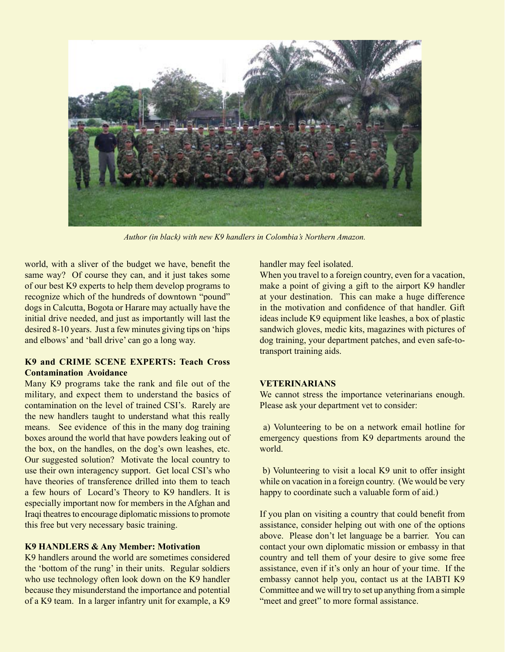

*Author (in black) with new K9 handlers in Colombia's Northern Amazon.*

world, with a sliver of the budget we have, benefit the same way? Of course they can, and it just takes some of our best K9 experts to help them develop programs to recognize which of the hundreds of downtown "pound" dogs in Calcutta, Bogota or Harare may actually have the initial drive needed, and just as importantly will last the desired 8-10 years. Just a few minutes giving tips on 'hips and elbows' and 'ball drive' can go a long way.

# **K9 and CRIME SCENE EXPERTS: Teach Cross Contamination Avoidance**

Many K9 programs take the rank and file out of the military, and expect them to understand the basics of contamination on the level of trained CSI's. Rarely are the new handlers taught to understand what this really means. See evidence of this in the many dog training boxes around the world that have powders leaking out of the box, on the handles, on the dog's own leashes, etc. Our suggested solution? Motivate the local country to use their own interagency support. Get local CSI's who have theories of transference drilled into them to teach a few hours of Locard's Theory to K9 handlers. It is especially important now for members in the Afghan and Iraqi theatres to encourage diplomatic missions to promote this free but very necessary basic training.

#### **K9 HANDLERS & Any Member: Motivation**

K9 handlers around the world are sometimes considered the 'bottom of the rung' in their units. Regular soldiers who use technology often look down on the K9 handler because they misunderstand the importance and potential of a K9 team. In a larger infantry unit for example, a K9

handler may feel isolated.

When you travel to a foreign country, even for a vacation, make a point of giving a gift to the airport K9 handler at your destination. This can make a huge difference in the motivation and confidence of that handler. Gift ideas include K9 equipment like leashes, a box of plastic sandwich gloves, medic kits, magazines with pictures of dog training, your department patches, and even safe-totransport training aids.

### **VETERINARIANS**

We cannot stress the importance veterinarians enough. Please ask your department vet to consider:

 a) Volunteering to be on a network email hotline for emergency questions from K9 departments around the world.

 b) Volunteering to visit a local K9 unit to offer insight while on vacation in a foreign country. (We would be very happy to coordinate such a valuable form of aid.)

If you plan on visiting a country that could benefit from assistance, consider helping out with one of the options above. Please don't let language be a barrier. You can contact your own diplomatic mission or embassy in that country and tell them of your desire to give some free assistance, even if it's only an hour of your time. If the embassy cannot help you, contact us at the IABTI K9 Committee and we will try to set up anything from a simple "meet and greet" to more formal assistance.